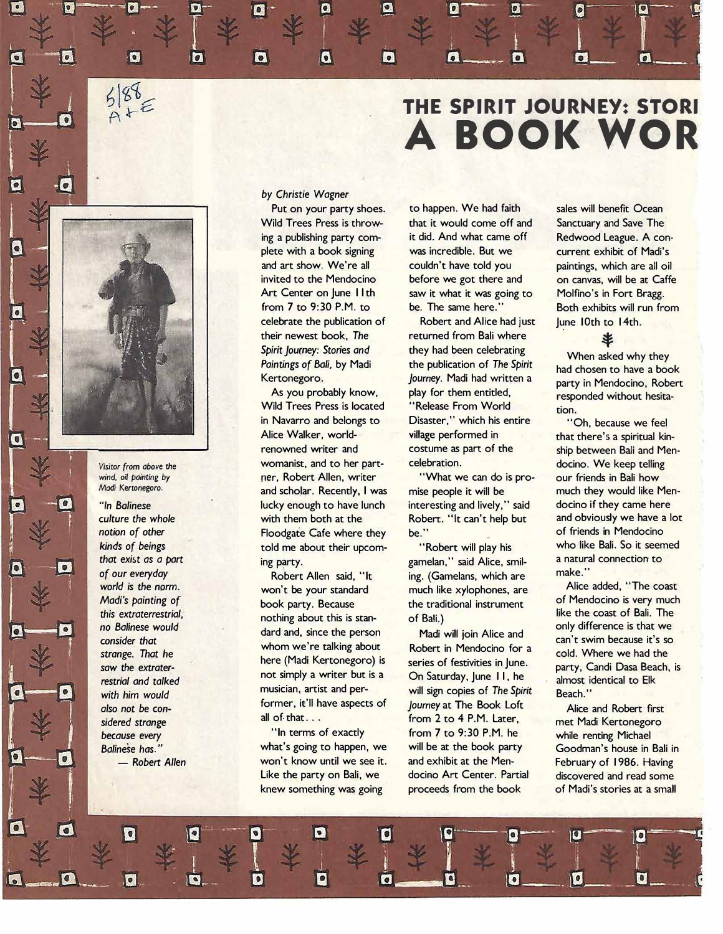## **THE SPIRIT JOURNEY: STORI A BOOK WOR**



o

 $\sqrt{6}$ 

*saw* the *extrater-*

### *by Christie Wagner*

 $\bullet$ 

relebrate the publication of a Robert and Alice had just a June 10th to 14th.<br>
their newest book, The returned from Bali where **Spirit Journey:** Stories and **Spirit Journey:** Stories and **Spirit Journey:** Stories and **Spirit Journey:** Stories and **Spirit Journey:** Stories and **Spirit Journey:** Stories and **Spirit Journey:** Stories and **Spirit Jour** 

a

Wild Trees Press is located "Release From World tion.<br>in Navarro and belongs to Disaster," which his entire " in Navarro and belongs to Disaster," which his entire "Oh, because we feel<br>Alice Walker, world- village performed in that there's a spiritual kin Alice Walker, world-**<br>
<b>village** performed in that there's a spiritual kin-<br> **renowned writer and the costume as part of the ship between Bali and Men** Visitor from above the *Womanist*, and to her part- celebration. The mode of docino. We keep telling vind, oil painting by **the example of the celebration** wind, oil painting by **the celebration celebration CER** wind *wind, oil painting by ner, Robert Allen, writer Madi Kertonegoro.***<br>
<b>Andi Kertonegoro.** *ner, Robert Recently I* and scholar. Recently, I was mise people it will be much they would like Men-*"In Balinese* lucky enough to have lunch interesting and lively," said docino if they came here *culture the whole* **with them both at the Robert.** "It can't help but and obviously we have a lot contained a lot and obviously we have a lot contained a lot contained a lot contained a lot contained a lot contained a lot **notion of other Floodgate Cafe where they be."** of friends in Mendocino **and the state of the state of the state of the state will play his who like Bali. So it seemed** *kinds of beings* **told me about their upcom-** "Robert will play his who like Bali. So it seen<br>
that exist as a part<br>
that exist as a part

*Madi's painting of* **book party. Because** the traditional instrument of Mendocino is very much<br>this extraterrestrial. *this extraterrestrial,* **h**othing about this is stan- of Bali.) like the coast of Bali. The nothing about this is stan- of Bali.) **like the coast of Bali.** The nothing about this is stanno balinese would **dard and, since the person** Madi will join Alice and consider that who we're talking about Robert in Mendocino for **strange.** That he **whom we're talking about** Robert in Mendocino for a cold. Where we had the coursine are the cold. Where we had the coursine and the cold. Where we had the coursine and the cold. Where we had the coursin restrial and talked **not simply a writer but is a** On Saturday, June 11, he almost identical to Elk<br>with him would musician, artist and per- will sign copies of The Spirit Beach." **with him would community in the musician, artist and per-** will sign copies of *The Spirit in would* **Beach.** The Spirit **Beach.** The Beach. The Beach. In the spirit **Beach.** In the spirit **Beach.** In the spirit **Beach.** *also not be con-* former, it'll have aspects of *Journey* at The Book Loft Alice and Robert first and Robert first and Robert first and Robert first Alice and Robert first and Robert first and Robert first and Robert firs

what's going to happen, we will be at the book party Goodman's house in Bali in<br>Won't know until we see it. and exhibit at the Men- February of 1986. Having - Robert Allen **Won't know until we see it.** and exhibit at the Men- February of 1986. Having Like the party on Bali, we docino Art Center. Partial discovered and read some knew something was going proceeds from the book of Madi's stories at a small

 $\bullet$ 

Put on your party shoes. to happen. We had faith sales will benefit Ocean Wild Trees Press is throw- that it would come off and Sanctuary and Save The ing a publishing party com- it did. And what came off Redwood League. A conplete with a book signing was incredible. But we current exhibit of Madi's and art show. We're all couldn't have told you paintings, which are all oil invited to the Mendocino before we got there and on canvas, will be at Caffe Art Center on June II th saw it what it was going to Molfino's in Fort Bragg.<br>from 7 to 9:30 P.M. to be. The same here." Both exhibits will run from be. The same here." **Both exhibits will run from** 

returned from Bali where As you probably know, play for them entitled, responded without hesita-<br>
fild Trees Press is located "Release From World tion

*that exist as a part* **ing party.** a maturity and *that exist as a party* a natural party. The said of our everyday and the said the said the said the said connection to the make." of our everyday **and a construct Allen said, "It ing. (Gamelans, which are make."** make." a construct a construct a construct a construct won't be vour standard a much like vylophones are a constructed Alice added, "The co

sidered strange **all of that ...** from 2 to 4 P.M. Later, a met Madi Kertonegoro<br>herguse every **and the contract to the from 7** to 9:30 P.M. he while renting Michael because every **1992 The Contract Contract Contract Contract Contract Contract Contract Contract Contract Contract Contract Contract Conditions of exactly from 7 to 9:30 P.M. he while renting Michael Conditions of the What'** 

**Paintings of Bali, by Madi** the publication of *The Spirit* **Choosen to have a book** *Journey.* Madi had written a party in Mendocino, Robert **Kertonegoro.** *Journey.* Madi had written a party in Mendocino, Robert

ship between Bali and Men-

world is the norm.<br>
Madi's painting of **the coast** book party. Because the traditional instrument of Mendocino is very much can't swim because it's so here (Madi Kertonegoro) is series of festivities in June. party, Candi Dasa Beach, is not simply a writer but is a On Saturday. June 11, he almost identical to Elle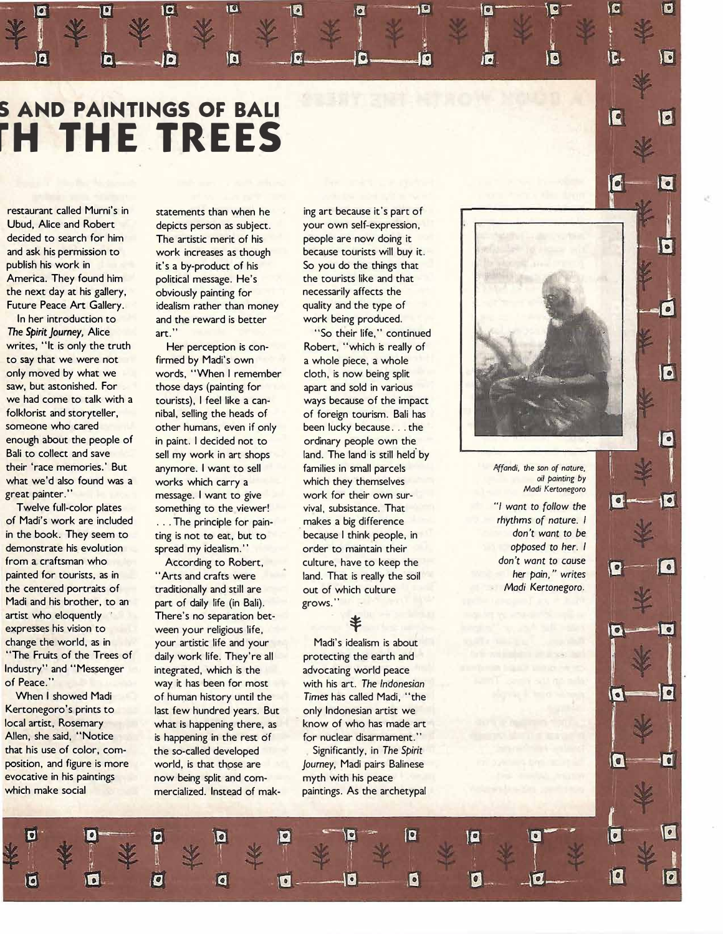# **S AND PAINTINGS OF BALI** *H* **THE TREES**

and ask his permission to work increases as though because tourists will buy it.<br>
publish his work in this it's a by-product of his So you do the things that

**The Spirit Journey, Alice art."** The Spirit Journey, Alice art." The Spirit Journey, Alice art." writes, "It is only the truth Her perception is con- Robert, "which is really of to say that we were not firmed by Madi's own a whole piece, a whole only moved by what we words, "When I remember cloth, is now being split<br>saw, but astonished. For those days (painting for a part and sold in various saw, but astonished. For those days (painting for apart and sold in various vehad come to talk with a structurists). I feel like a can- ways because of the imp we had come to talk with a tourists), I feel like a can- ways because of the impact<br>folklorist and storyteller, a selling the heads of or eign tourism. Bali has folklorist and storyteller, anibal, selling the heads of of foreign tourism. Bali has someone who cared other humans, even if only been lucky because... the enough about the people of in paint. I decided not to ordinary people own the enough about the people of in paint. I decided not to ordinary people own the enough the ball of the ball of the ball of the land is still held. Bali to collect and save sell my work in art shops land. The land is still held by<br>their 'race memories.' But anymore. I want to sell families in small parcels what we'd also found was a works which carry a which they themselves great painter." **painting by a which was a** message. I want to give work for their own sur

of Madi's work are included ... The principle for pain- . makes a big difference *rhythms* of *nature. I*  in the book. They seem to ting is not to eat, but to because I think people, in *don't wont to be*  demonstrate his evolution spread my idealism.'' order to maintain their **opposed to her.** I **opposed to her.** I *opposed to her.* I *opposed to her.* **I <b>***opposed to her.* I *opposed to her.* I *opposed to her.* I from a craftsman who **According to Robert,** culture, have to keep the *don't want to cause*<br> **ainted for tourists, as in** "Arts and crafts were and and That is really the soil **her pain,"** writes painted for tourists, as in *here is and crafts were* land. That is really the soil the centered portraits of traditionally and still are out of which culture *Madi Kertonegoro.* **Madi Kertonegoro. Madi Kertonegoro. Madi Kertonegoro. Madi Kertonegoro. Madi Kertonegoro. Madi Kertonegoro. Madi** artist who eloquently There's no separation bet-<br>expresses his vision to ween your religious life, change the world, as in your artistic life and your Madi's idealism is about<br>"The Fruits of the Trees of daily work life. They're all protecting the earth and Industry" and "Messenger integrated, which is the advocating world peace<br>
of Peace." way it has been for most with his art. The Indones

Kertonegoro's prints to last few hundred years. But only Indonesian artist we local artist, Rosemary what is happening there, as know of who has made art that his use of color, com-<br> **the so-called developed** Significantly, in *The Spirit*<br> **position, and figure is more** world, is that those are *lourney*. Madi pairs Balinese position, and figure is more world, is that those are *Journey,* Madi pairs Balinese

d

restaurant called Murni's in statements than when he ing art because it's part of Ubud, Alice and Robert depicts person as subject. your own self-expression, decided to search for him The artistic merit of his people are now doing it decided to search for him The artistic merit of his and ask his people are now doing it<br>
and ask his permission to a work increases as though because tourists will buy publish his work in it's a by-product of his So you do the things that<br>America. They found him bolitical message. He's the tourists like and that political message. He's the tourists like and the tourist like and the tourists like and the tourists like and that the next day at his gallery, boviously painting for the necessarily affects the network of the network of the boviously painting for the necessarily affects the network of the state of the state of the type of the type of Future Peace Art Gallery. idealism rather than money<br>In her introduction to and the reward is better and the reward is better work being produced.

ra

n

other humans, even if only been lucky because . . . the anymore. I want to sell **families in small parcels** *<i>Affandi*, the son of nature, *Junches* care *Junche Corey 2 and District Affandi*, *be son of nature, by a self-particle care <i>a District Affandi b ail p* eat painter." **Example 2** message. I want to give work for their own sur-<br>Twelve full-color plates something to the viewer! vival, subsistance. That The something to the viewer! vival, subsistance. That "/ *want to follow the* intervention of *nature*. The principle for pain-

part of daily life (in Bali). grows." daily work life. They're all protecting the earth and of Peace." way it has been for most with his arc. *The Indonesian*  is happening in the rest of for nuclear disarmament." now being split and com- myth with his peace which make social **mercialized.** Instead of mak- paintings. As the archetypal

a

of human history until the Times has called Madi, "the

 $\bullet$ 

*Madi Kertonegoro* 

O

**D** 

 $\overline{\phantom{a}}$ 

 $\bullet$ 

 $\bullet$ 

 $\bullet$ 

 $\mathbf{E}$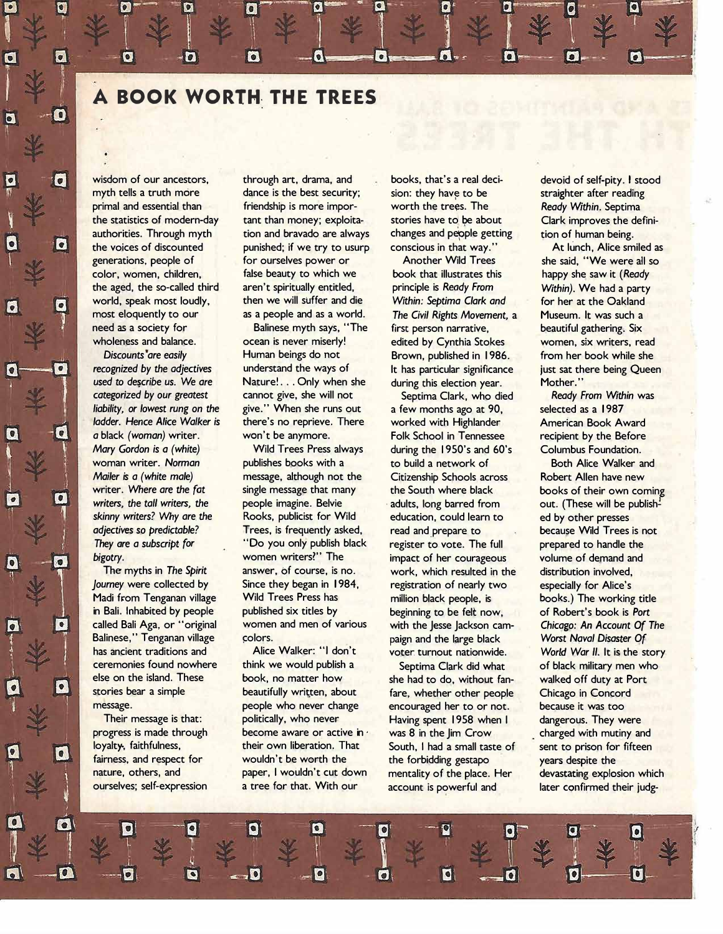**A BOOK WORTH- THE TREES** 

Z.

Q

6

 $\vert \mathbf{e} \vert$ 

 $\bullet$ 

 $\bullet$ 

**used to describe us. We are annot plusted to descript in the value of the during this election year. Mother." <br>
<b>Areform annot give, she will not** annot she will not alark, who died a Ready From Within was **categorized by our greatest cannot give, she will not Septima Clark, who died** *Ready From With liability, or lowest rung on the* **give." When she runs out a few months ago at 90. Selected as a 1987** *ladder.* **Hence Alice Walker is there's no reprieve. There** <br>**a** black (woman) writer. won't be anymore.

myth tells a truth more dance is the best security; sion: they have to be straighter after reading **primal and essential than friendship is more impor- worth the trees. The** *Ready Within.* **Septima <b>***the statistics of modern-day* tant than money; exploita- stories have to be about Clark improves the de **the statistics of modern-day** tant than money; exploita- stories have to be about Clark improves the defini-<br>authorities. Through myth tion and bravado are always changes and people getting tion of human being. **authorities. Through myth** tion and bravado are always changes and people getting tion of human being.<br> **authorities.** Through myth punished; if we try to usurp conscious in that way." At lunch, Alice smiled as **the voice of the voices of the voices of the voice spinling to usurp to the voice smiles of the voice smiles as a state as a state smile as a state smile smile as a state smile smile as a state smile smile smiles as a sta generations, people of for ourselves power or Another Wild Trees she said, "We were all so color, women, children, false beauty to which we book that illustrates this happy she saw it (** *Ready* **the aged, the so-called third aren't spiritually entitled, principle is** *Ready From Within).* **We had a party underformate will suffer and die and Within: Septima Clark and all all for her at the Oakland by the surfall suffer and as a world. <br><b>The Civil Rights Movement, a procession in the Septima Clark and A Museum, It was s** 

Their message is that: politically, who never **Having spent 1958 when I** progress is made through **become aware or active in** was 8 in the Jim Crow

most eloquently to our as a people and as a world. The *Civil Rights Movement,* a **Museum. It was such a <br>need as a society for <b>a beautiful pathering.** Six **Balinese myth says, "The first person narrative, beautiful gathering. Six** wholeness and balance. **ocean is never miserly!** edited by Cynthia Stokes women, six writers, read **Discounts are easily <b>Human beings do not** Brown, published in 1986. From her book while she **recognized by the adjectives** understand the ways of **the adjectives** understand the ways of **the adjectives** by the adjectives **recognized by the adjectives understand the ways of The** *I* **has particular significance in the real puse of the** *seming Queen* **is used to describe us. We are <b>Nature!...** Only when she during this election year. Mother.

*liability, or lowest rung on the give.* When she runs out a few months ago at 90, **selected as a 1987** *lodder. Hence Alice Walker is there's no reprieve. There worked with Highlander* **<b>American Book Award** *a* black (woman) writer. won't be anymore. Folk School in Tennessee recipient by the Before Mary Gordon is a (white) Wild Trees Press always during the 1950's and 60's Columbus Foundation. *Mary Gordon is a (white)* **Wild Trees Press always during the I 950's and 60's Columbus Foundation.**  woman writer. Norman **bublishes books with a** to build a network of **Both Alice Walker and a network of the Both Alice Walker and a message, although not the Citizenship Schools across Robert Allen have new** *Mailer is a (white male)* **message, although not the Citizenship Schools across Robert Allen have new**  *writers,* **the** *tall writers,* **the people imagine. Belvie • adults, long barred from out. (These will be publish� skinny writers? Why are the Rooks, publicist for Wild education, could learn to ed by other presses adjectives so predictable? Trees, is frequently asked, read and prepare to because Wild Trees** *adjectives so predictable?* **Trees, is frequently asked,** read and prepare to **read and the analy prepared to handle the** *They are a subscript for* "Do you only publish black register to vote. The full **prepared to handl They are a subscript for "Do you only publish black register to vote. The full subscript for the bigotry.<br>
<b>Example 1999 Example 1999 WOMEN WOMEN WOMEN WOMEN STATE** impact of her courageous volume of demand and **bigotry. bigotry. bigotry. bigotry. women writers?'' The impact of her courageous volume of demand and The myths in The Spirit answer, of course, is no. Work, which resulted in the distribution involved,** work, which resulted in the *Spiritted* distribution involved, *Journey* **were collected by Since they began in 1984, registration of nearly two especially for Alice's**  Madi from Tenganan village Wild Trees Press has million black people, is books.) The working title **in Bali, Inhabited by people** published six titles by beginning to be felt now. The Robert's book is *Port* **in Bali. Inhabited by people published six titles by beginning to be felt now, of Robert's book is** *Port* **Balinese," Tenganan village colors.** paign and the large black *Worst Naval Disaster Of* **has ancient traditions and alice Walker:** "I don't voter turnout nationwide *World War II* It is the st

**else on the island. These book, no matter how she had to do, without fan- walkeq off duty at Port**  stories bear a simple **beautifully written, about** fare, whether other people Chicago in Concord **people** who never change encouraged her to or not. because it was too **message. people who never change encouraged her to or not. because it was too progress is made through become aware or active in vas 8 in the Jim Crow charged with mutiny and loyalty, faithfulness, their own liberation. That South, I had a small taste of sent to prison for fifteen loyalty, faithfulness, their own liberation.** That South, I had a small taste of sent to prison for fifteen **fairness**, and respect for wouldn't be worth the the forbidding gestapo years despite the **fairness, and respect for wouldn't be worth the the forbidding gestapo years despite the nature, others, and paper, I wouldn't cut down mentality of the place. Her devastating explo nature, others, and paper, I wouldn't cut down** mentality of the place. Her devastating explosion which **nature**<br>
<u>ourselves</u>; self-expression a tree for that. With our account is powerful and later confirmed their judgaccount is powerful and **later confirmed their judg-**

wisdom of our ancestors, through art, drama, and books, that's a real deci- devoid of self-pity. I stood

**writer.** Where are the *fat* **single message that many** the South where black books of their own coming virters, the **black** books of their own coming **writers**, the **index** people imagine. Belvie adults, long barred from **called Bali Aga, or •'original women and men of various with the Jesse Jackson cam-** *Chicago: An Account Of* **The has ancient traditions and Alice Walker: "I don't voter. turnout nationwide.** *World War II.* **It is the story ceremonies found nowhere** think we would publish a Septima Clark did what of black military men who <br>
else on the island. These book, no matter how she had to do, without fan- walked off duty at Port